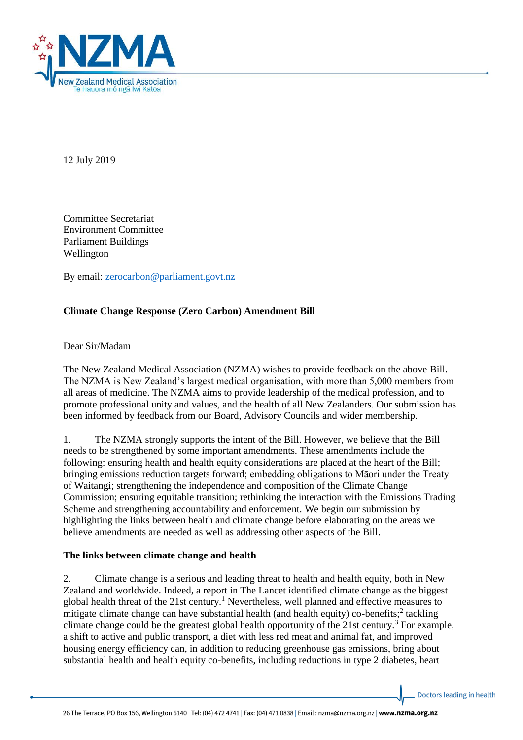

12 July 2019

Committee Secretariat Environment Committee Parliament Buildings Wellington

By email: [zerocarbon@parliament.govt.nz](mailto:zerocarbon@parliament.govt.nz)

## **Climate Change Response (Zero Carbon) Amendment Bill**

Dear Sir/Madam

The New Zealand Medical Association (NZMA) wishes to provide feedback on the above Bill. The NZMA is New Zealand's largest medical organisation, with more than 5,000 members from all areas of medicine. The NZMA aims to provide leadership of the medical profession, and to promote professional unity and values, and the health of all New Zealanders. Our submission has been informed by feedback from our Board, Advisory Councils and wider membership.

1. The NZMA strongly supports the intent of the Bill. However, we believe that the Bill needs to be strengthened by some important amendments. These amendments include the following: ensuring health and health equity considerations are placed at the heart of the Bill; bringing emissions reduction targets forward; embedding obligations to Māori under the Treaty of Waitangi; strengthening the independence and composition of the Climate Change Commission; ensuring equitable transition; rethinking the interaction with the Emissions Trading Scheme and strengthening accountability and enforcement. We begin our submission by highlighting the links between health and climate change before elaborating on the areas we believe amendments are needed as well as addressing other aspects of the Bill.

### **The links between climate change and health**

2. Climate change is a serious and leading threat to health and health equity, both in New Zealand and worldwide. Indeed, a report in The Lancet identified climate change as the biggest global health threat of the 21st century.<sup>1</sup> Nevertheless, well planned and effective measures to mitigate climate change can have substantial health (and health equity) co-benefits;<sup>2</sup> tackling climate change could be the greatest global health opportunity of the 21st century.<sup>3</sup> For example, a shift to active and public transport, a diet with less red meat and animal fat, and improved housing energy efficiency can, in addition to reducing greenhouse gas emissions, bring about substantial health and health equity co-benefits, including reductions in type 2 diabetes, heart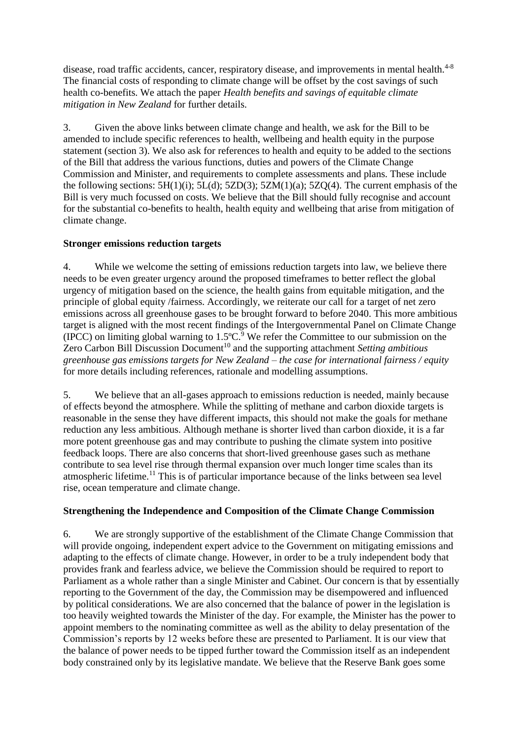disease, road traffic accidents, cancer, respiratory disease, and improvements in mental health.<sup>4-8</sup> The financial costs of responding to climate change will be offset by the cost savings of such health co-benefits. We attach the paper *Health benefits and savings of equitable climate mitigation in New Zealand* for further details.

3. Given the above links between climate change and health, we ask for the Bill to be amended to include specific references to health, wellbeing and health equity in the purpose statement (section 3). We also ask for references to health and equity to be added to the sections of the Bill that address the various functions, duties and powers of the Climate Change Commission and Minister, and requirements to complete assessments and plans. These include the following sections:  $5H(1)(i)$ ;  $5L(d)$ ;  $5ZD(3)$ ;  $5ZM(1)(a)$ ;  $5ZQ(4)$ . The current emphasis of the Bill is very much focussed on costs. We believe that the Bill should fully recognise and account for the substantial co-benefits to health, health equity and wellbeing that arise from mitigation of climate change.

## **Stronger emissions reduction targets**

4. While we welcome the setting of emissions reduction targets into law, we believe there needs to be even greater urgency around the proposed timeframes to better reflect the global urgency of mitigation based on the science, the health gains from equitable mitigation, and the principle of global equity /fairness. Accordingly, we reiterate our call for a target of net zero emissions across all greenhouse gases to be brought forward to before 2040. This more ambitious target is aligned with the most recent findings of the Intergovernmental Panel on Climate Change (IPCC) on limiting global warning to  $1.5^{\circ}$ C.<sup>9</sup> We refer the Committee to our submission on the Zero Carbon Bill Discussion Document<sup>10</sup> and the supporting attachment *Setting ambitious greenhouse gas emissions targets for New Zealand – the case for international fairness / equity* for more details including references, rationale and modelling assumptions.

5. We believe that an all-gases approach to emissions reduction is needed, mainly because of effects beyond the atmosphere. While the splitting of methane and carbon dioxide targets is reasonable in the sense they have different impacts, this should not make the goals for methane reduction any less ambitious. Although methane is shorter lived than carbon dioxide, it is a far more potent greenhouse gas and may contribute to pushing the climate system into positive feedback loops. There are also concerns that short-lived greenhouse gases such as methane contribute to sea level rise through thermal expansion over much longer time scales than its atmospheric lifetime.<sup>11</sup> This is of particular importance because of the links between sea level rise, ocean temperature and climate change.

# **Strengthening the Independence and Composition of the Climate Change Commission**

6. We are strongly supportive of the establishment of the Climate Change Commission that will provide ongoing, independent expert advice to the Government on mitigating emissions and adapting to the effects of climate change. However, in order to be a truly independent body that provides frank and fearless advice, we believe the Commission should be required to report to Parliament as a whole rather than a single Minister and Cabinet. Our concern is that by essentially reporting to the Government of the day, the Commission may be disempowered and influenced by political considerations. We are also concerned that the balance of power in the legislation is too heavily weighted towards the Minister of the day. For example, the Minister has the power to appoint members to the nominating committee as well as the ability to delay presentation of the Commission's reports by 12 weeks before these are presented to Parliament. It is our view that the balance of power needs to be tipped further toward the Commission itself as an independent body constrained only by its legislative mandate. We believe that the Reserve Bank goes some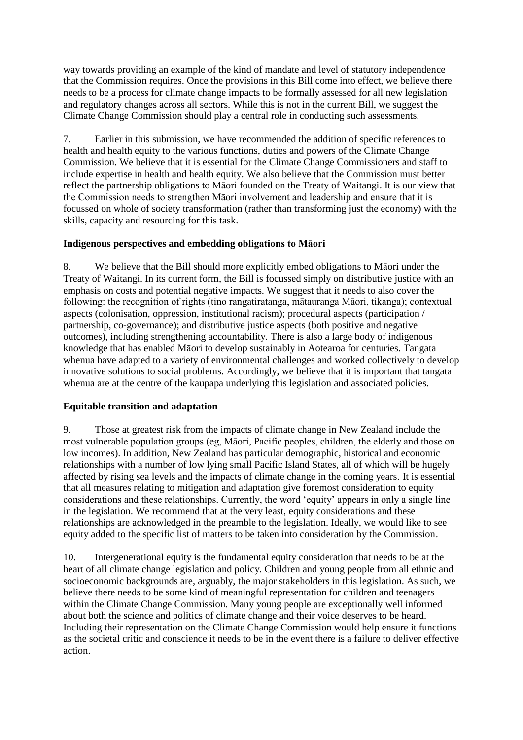way towards providing an example of the kind of mandate and level of statutory independence that the Commission requires. Once the provisions in this Bill come into effect, we believe there needs to be a process for climate change impacts to be formally assessed for all new legislation and regulatory changes across all sectors. While this is not in the current Bill, we suggest the Climate Change Commission should play a central role in conducting such assessments.

7. Earlier in this submission, we have recommended the addition of specific references to health and health equity to the various functions, duties and powers of the Climate Change Commission. We believe that it is essential for the Climate Change Commissioners and staff to include expertise in health and health equity. We also believe that the Commission must better reflect the partnership obligations to Māori founded on the Treaty of Waitangi. It is our view that the Commission needs to strengthen Māori involvement and leadership and ensure that it is focussed on whole of society transformation (rather than transforming just the economy) with the skills, capacity and resourcing for this task.

## **Indigenous perspectives and embedding obligations to Māori**

8. We believe that the Bill should more explicitly embed obligations to Māori under the Treaty of Waitangi. In its current form, the Bill is focussed simply on distributive justice with an emphasis on costs and potential negative impacts. We suggest that it needs to also cover the following: the recognition of rights (tino rangatiratanga, mātauranga Māori, tikanga); contextual aspects (colonisation, oppression, institutional racism); procedural aspects (participation / partnership, co-governance); and distributive justice aspects (both positive and negative outcomes), including strengthening accountability. There is also a large body of indigenous knowledge that has enabled Māori to develop sustainably in Aotearoa for centuries. Tangata whenua have adapted to a variety of environmental challenges and worked collectively to develop innovative solutions to social problems. Accordingly, we believe that it is important that tangata whenua are at the centre of the kaupapa underlying this legislation and associated policies.

### **Equitable transition and adaptation**

9. Those at greatest risk from the impacts of climate change in New Zealand include the most vulnerable population groups (eg, Māori, Pacific peoples, children, the elderly and those on low incomes). In addition, New Zealand has particular demographic, historical and economic relationships with a number of low lying small Pacific Island States, all of which will be hugely affected by rising sea levels and the impacts of climate change in the coming years. It is essential that all measures relating to mitigation and adaptation give foremost consideration to equity considerations and these relationships. Currently, the word 'equity' appears in only a single line in the legislation. We recommend that at the very least, equity considerations and these relationships are acknowledged in the preamble to the legislation. Ideally, we would like to see equity added to the specific list of matters to be taken into consideration by the Commission.

10. Intergenerational equity is the fundamental equity consideration that needs to be at the heart of all climate change legislation and policy. Children and young people from all ethnic and socioeconomic backgrounds are, arguably, the major stakeholders in this legislation. As such, we believe there needs to be some kind of meaningful representation for children and teenagers within the Climate Change Commission. Many young people are exceptionally well informed about both the science and politics of climate change and their voice deserves to be heard. Including their representation on the Climate Change Commission would help ensure it functions as the societal critic and conscience it needs to be in the event there is a failure to deliver effective action.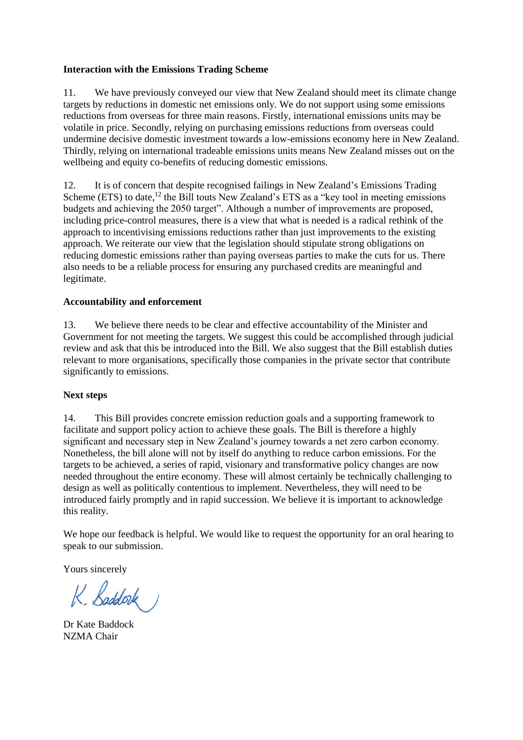### **Interaction with the Emissions Trading Scheme**

11. We have previously conveyed our view that New Zealand should meet its climate change targets by reductions in domestic net emissions only. We do not support using some emissions reductions from overseas for three main reasons. Firstly, international emissions units may be volatile in price. Secondly, relying on purchasing emissions reductions from overseas could undermine decisive domestic investment towards a low-emissions economy here in New Zealand. Thirdly, relying on international tradeable emissions units means New Zealand misses out on the wellbeing and equity co-benefits of reducing domestic emissions.

12. It is of concern that despite recognised failings in New Zealand's Emissions Trading Scheme (ETS) to date,<sup>12</sup> the Bill touts New Zealand's ETS as a "key tool in meeting emissions budgets and achieving the 2050 target". Although a number of improvements are proposed, including price-control measures, there is a view that what is needed is a radical rethink of the approach to incentivising emissions reductions rather than just improvements to the existing approach. We reiterate our view that the legislation should stipulate strong obligations on reducing domestic emissions rather than paying overseas parties to make the cuts for us. There also needs to be a reliable process for ensuring any purchased credits are meaningful and legitimate.

### **Accountability and enforcement**

13. We believe there needs to be clear and effective accountability of the Minister and Government for not meeting the targets. We suggest this could be accomplished through judicial review and ask that this be introduced into the Bill. We also suggest that the Bill establish duties relevant to more organisations, specifically those companies in the private sector that contribute significantly to emissions.

### **Next steps**

14. This Bill provides concrete emission reduction goals and a supporting framework to facilitate and support policy action to achieve these goals. The Bill is therefore a highly significant and necessary step in New Zealand's journey towards a net zero carbon economy. Nonetheless, the bill alone will not by itself do anything to reduce carbon emissions. For the targets to be achieved, a series of rapid, visionary and transformative policy changes are now needed throughout the entire economy. These will almost certainly be technically challenging to design as well as politically contentious to implement. Nevertheless, they will need to be introduced fairly promptly and in rapid succession. We believe it is important to acknowledge this reality.

We hope our feedback is helpful. We would like to request the opportunity for an oral hearing to speak to our submission.

Yours sincerely

K. Baddock

Dr Kate Baddock NZMA Chair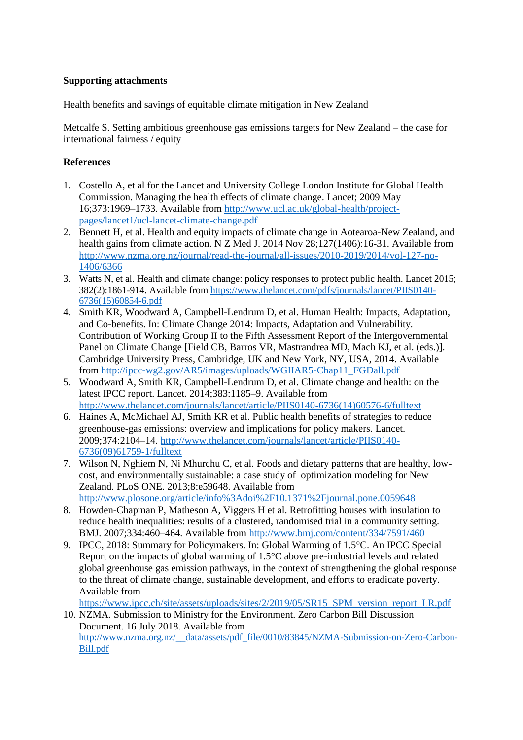## **Supporting attachments**

Health benefits and savings of equitable climate mitigation in New Zealand

Metcalfe S. Setting ambitious greenhouse gas emissions targets for New Zealand – the case for international fairness / equity

## **References**

- 1. Costello A, et al for the Lancet and University College London Institute for Global Health Commission. Managing the health effects of climate change. Lancet; 2009 May 16;373:1969–1733. Available from [http://www.ucl.ac.uk/global-health/project](http://www.ucl.ac.uk/global-health/project-pages/lancet1/ucl-lancet-climate-change.pdf)[pages/lancet1/ucl-lancet-climate-change.pdf](http://www.ucl.ac.uk/global-health/project-pages/lancet1/ucl-lancet-climate-change.pdf)
- 2. Bennett H, et al. Health and equity impacts of climate change in Aotearoa-New Zealand, and health gains from climate action. N Z Med J. 2014 Nov 28;127(1406):16-31. Available from [http://www.nzma.org.nz/journal/read-the-journal/all-issues/2010-2019/2014/vol-127-no-](http://www.nzma.org.nz/journal/read-the-journal/all-issues/2010-2019/2014/vol-127-no-1406/6366)[1406/6366](http://www.nzma.org.nz/journal/read-the-journal/all-issues/2010-2019/2014/vol-127-no-1406/6366)
- 3. Watts N, et al. Health and climate change: policy responses to protect public health. Lancet 2015; 382(2):1861-914. Available fro[m https://www.thelancet.com/pdfs/journals/lancet/PIIS0140-](https://www.thelancet.com/pdfs/journals/lancet/PIIS0140-6736(15)60854-6.pdf) [6736\(15\)60854-6.pdf](https://www.thelancet.com/pdfs/journals/lancet/PIIS0140-6736(15)60854-6.pdf)
- 4. Smith KR, Woodward A, Campbell-Lendrum D, et al. Human Health: Impacts, Adaptation, and Co-benefits. In: Climate Change 2014: Impacts, Adaptation and Vulnerability. Contribution of Working Group II to the Fifth Assessment Report of the Intergovernmental Panel on Climate Change [Field CB, Barros VR, Mastrandrea MD, Mach KJ, et al. (eds.)]. Cambridge University Press, Cambridge, UK and New York, NY, USA, 2014. Available from [http://ipcc-wg2.gov/AR5/images/uploads/WGIIAR5-Chap11\\_FGDall.pdf](http://ipcc-wg2.gov/AR5/images/uploads/WGIIAR5-Chap11_FGDall.pdf)
- 5. Woodward A, Smith KR, Campbell-Lendrum D, et al. Climate change and health: on the latest IPCC report. Lancet. 2014;383:1185–9. Available from [http://www.thelancet.com/journals/lancet/article/PIIS0140-6736\(14\)60576-6/fulltext](http://www.thelancet.com/journals/lancet/article/PIIS0140-6736(14)60576-6/fulltext)
- 6. Haines A, McMichael AJ, Smith KR et al. Public health benefits of strategies to reduce greenhouse-gas emissions: overview and implications for policy makers. Lancet. 2009;374:2104–14. [http://www.thelancet.com/journals/lancet/article/PIIS0140-](http://www.thelancet.com/journals/lancet/article/PIIS0140-6736(09)61759-1/fulltext) [6736\(09\)61759-1/fulltext](http://www.thelancet.com/journals/lancet/article/PIIS0140-6736(09)61759-1/fulltext)
- 7. Wilson N, Nghiem N, Ni Mhurchu C, et al. Foods and dietary patterns that are healthy, lowcost, and environmentally sustainable: a case study of optimization modeling for New Zealand. PLoS ONE. 2013;8:e59648. Available from <http://www.plosone.org/article/info%3Adoi%2F10.1371%2Fjournal.pone.0059648>
- 8. Howden-Chapman P, Matheson A, Viggers H et al. Retrofitting houses with insulation to reduce health inequalities: results of a clustered, randomised trial in a community setting. BMJ. 2007;334:460–464. Available from<http://www.bmj.com/content/334/7591/460>
- 9. IPCC, 2018: Summary for Policymakers. In: Global Warming of 1.5°C. An IPCC Special Report on the impacts of global warming of 1.5°C above pre-industrial levels and related global greenhouse gas emission pathways, in the context of strengthening the global response to the threat of climate change, sustainable development, and efforts to eradicate poverty. Available from

[https://www.ipcc.ch/site/assets/uploads/sites/2/2019/05/SR15\\_SPM\\_version\\_report\\_LR.pdf](https://www.ipcc.ch/site/assets/uploads/sites/2/2019/05/SR15_SPM_version_report_LR.pdf)

10. NZMA. Submission to Ministry for the Environment. Zero Carbon Bill Discussion Document. 16 July 2018. Available from [http://www.nzma.org.nz/\\_\\_data/assets/pdf\\_file/0010/83845/NZMA-Submission-on-Zero-Carbon-](http://www.nzma.org.nz/__data/assets/pdf_file/0010/83845/NZMA-Submission-on-Zero-Carbon-Bill.pdf)[Bill.pdf](http://www.nzma.org.nz/__data/assets/pdf_file/0010/83845/NZMA-Submission-on-Zero-Carbon-Bill.pdf)